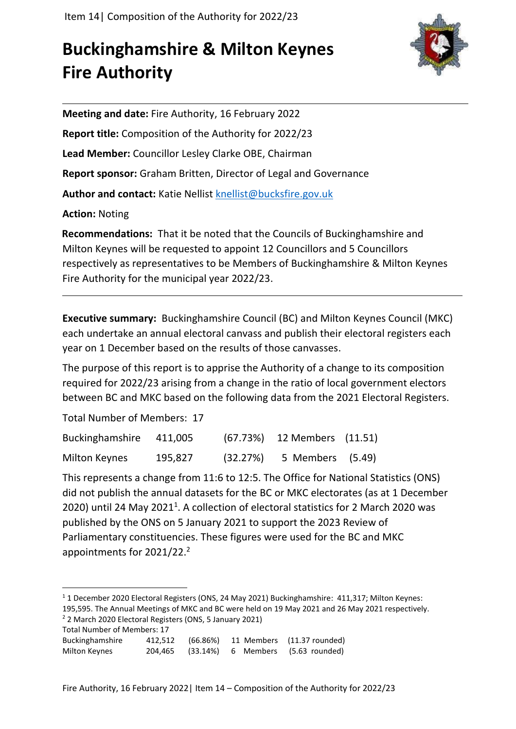## **Buckinghamshire & Milton Keynes Fire Authority**



**Meeting and date:** Fire Authority, 16 February 2022 **Report title:** Composition of the Authority for 2022/23 **Lead Member:** Councillor Lesley Clarke OBE, Chairman **Report sponsor:** Graham Britten, Director of Legal and Governance Author and contact: Katie Nellist [knellist@bucksfire.gov.uk](mailto:knellist@bucksfire.gov.uk) **Action:** Noting

**Recommendations:** That it be noted that the Councils of Buckinghamshire and Milton Keynes will be requested to appoint 12 Councillors and 5 Councillors respectively as representatives to be Members of Buckinghamshire & Milton Keynes Fire Authority for the municipal year 2022/23.

**Executive summary:** Buckinghamshire Council (BC) and Milton Keynes Council (MKC) each undertake an annual electoral canvass and publish their electoral registers each year on 1 December based on the results of those canvasses.

The purpose of this report is to apprise the Authority of a change to its composition required for 2022/23 arising from a change in the ratio of local government electors between BC and MKC based on the following data from the 2021 Electoral Registers.

Total Number of Members: 17

| Buckinghamshire      | 411,005 |          | (67.73%) 12 Members (11.51) |  |
|----------------------|---------|----------|-----------------------------|--|
| <b>Milton Keynes</b> | 195,827 | (32.27%) | 5 Members (5.49)            |  |

This represents a change from 11:6 to 12:5. The Office for National Statistics (ONS) did not publish the annual datasets for the BC or MKC electorates (as at 1 December 2020) until 24 May 2021<sup>1</sup>. A collection of electoral statistics for 2 March 2020 was published by the ONS on 5 January 2021 to support the 2023 Review of Parliamentary constituencies. These figures were used for the BC and MKC appointments for 2021/22.<sup>2</sup>

<sup>2</sup> 2 March 2020 Electoral Registers (ONS, 5 January 2021) Total Number of Members: 17

| <b>10 GE INDITION IN THE INCIDENT</b> |  |                                             |
|---------------------------------------|--|---------------------------------------------|
| Buckinghamshire                       |  | 412,512 (66.86%) 11 Members (11.37 rounded) |
| Milton Keynes                         |  | 204,465 (33.14%) 6 Members (5.63 rounded)   |

<sup>1</sup> 1 December 2020 Electoral Registers (ONS, 24 May 2021) Buckinghamshire: 411,317; Milton Keynes: 195,595. The Annual Meetings of MKC and BC were held on 19 May 2021 and 26 May 2021 respectively.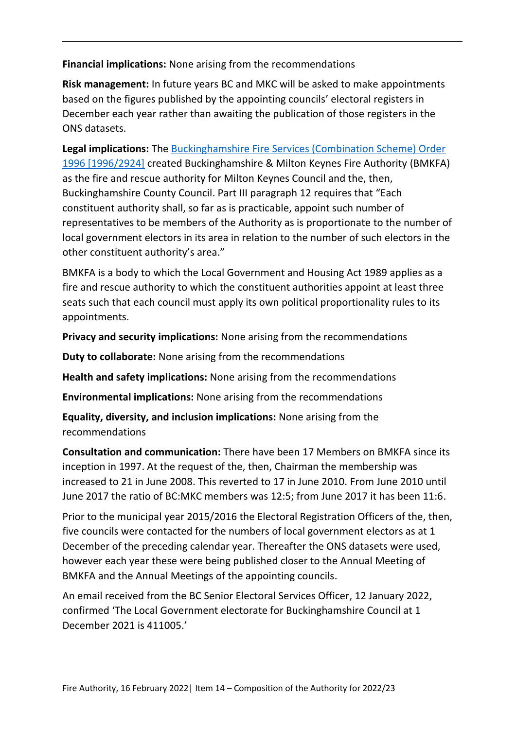**Financial implications:** None arising from the recommendations

**Risk management:** In future years BC and MKC will be asked to make appointments based on the figures published by the appointing councils' electoral registers in December each year rather than awaiting the publication of those registers in the ONS datasets.

**Legal implications:** The [Buckinghamshire Fire Services \(Combination Scheme\) Order](https://bucksfire.gov.uk/documents/2020/03/combination-scheme-order.pdf/)  [1996 \[1996/2924\]](https://bucksfire.gov.uk/documents/2020/03/combination-scheme-order.pdf/) created Buckinghamshire & Milton Keynes Fire Authority (BMKFA) as the fire and rescue authority for Milton Keynes Council and the, then, Buckinghamshire County Council. Part III paragraph 12 requires that "Each constituent authority shall, so far as is practicable, appoint such number of representatives to be members of the Authority as is proportionate to the number of local government electors in its area in relation to the number of such electors in the other constituent authority's area."

BMKFA is a body to which the Local Government and Housing Act 1989 applies as a fire and rescue authority to which the constituent authorities appoint at least three seats such that each council must apply its own political proportionality rules to its appointments.

**Privacy and security implications:** None arising from the recommendations

**Duty to collaborate:** None arising from the recommendations

**Health and safety implications:** None arising from the recommendations

**Environmental implications:** None arising from the recommendations

**Equality, diversity, and inclusion implications:** None arising from the recommendations

**Consultation and communication:** There have been 17 Members on BMKFA since its inception in 1997. At the request of the, then, Chairman the membership was increased to 21 in June 2008. This reverted to 17 in June 2010. From June 2010 until June 2017 the ratio of BC:MKC members was 12:5; from June 2017 it has been 11:6.

Prior to the municipal year 2015/2016 the Electoral Registration Officers of the, then, five councils were contacted for the numbers of local government electors as at 1 December of the preceding calendar year. Thereafter the ONS datasets were used, however each year these were being published closer to the Annual Meeting of BMKFA and the Annual Meetings of the appointing councils.

An email received from the BC Senior Electoral Services Officer, 12 January 2022, confirmed 'The Local Government electorate for Buckinghamshire Council at 1 December 2021 is 411005.'